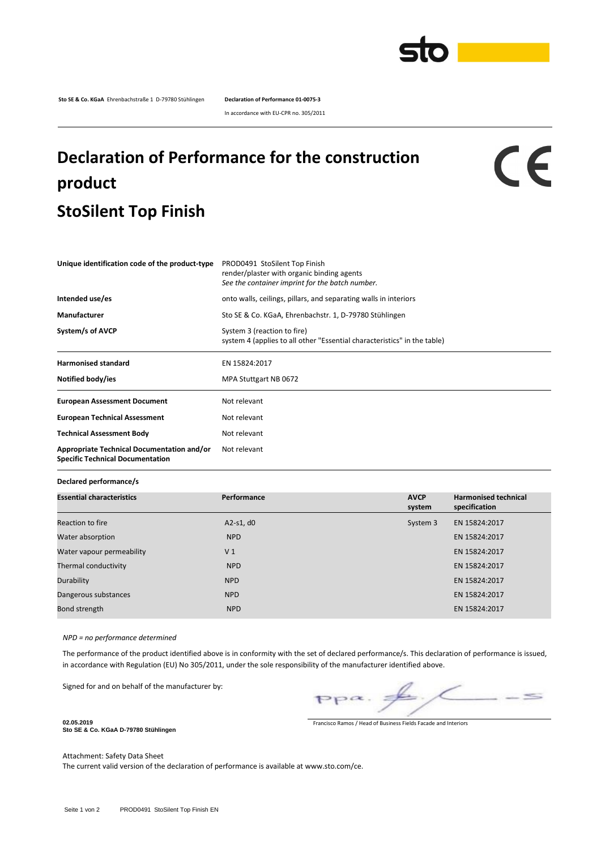

**Sto SE & Co. KGaA** Ehrenbachstraße 1 D-79780 Stühlingen **Declaration of Performance 01-0075-3**

In accordance with EU-CPR no. 305/2011

## **Declaration of Performance for the construction product StoSilent Top Finish**

## CE

| Unique identification code of the product-type                                        | PROD0491 StoSilent Top Finish<br>render/plaster with organic binding agents<br>See the container imprint for the batch number. |  |  |  |  |
|---------------------------------------------------------------------------------------|--------------------------------------------------------------------------------------------------------------------------------|--|--|--|--|
| Intended use/es                                                                       | onto walls, ceilings, pillars, and separating walls in interiors                                                               |  |  |  |  |
| <b>Manufacturer</b>                                                                   | Sto SE & Co. KGaA, Ehrenbachstr. 1, D-79780 Stühlingen                                                                         |  |  |  |  |
| System/s of AVCP                                                                      | System 3 (reaction to fire)<br>system 4 (applies to all other "Essential characteristics" in the table)                        |  |  |  |  |
| <b>Harmonised standard</b>                                                            | EN 15824:2017                                                                                                                  |  |  |  |  |
| Notified body/ies                                                                     | MPA Stuttgart NB 0672                                                                                                          |  |  |  |  |
| <b>European Assessment Document</b>                                                   | Not relevant                                                                                                                   |  |  |  |  |
| <b>European Technical Assessment</b>                                                  | Not relevant                                                                                                                   |  |  |  |  |
| <b>Technical Assessment Body</b>                                                      | Not relevant                                                                                                                   |  |  |  |  |
| Appropriate Technical Documentation and/or<br><b>Specific Technical Documentation</b> | Not relevant                                                                                                                   |  |  |  |  |

**Declared performance/s**

| <b>Essential characteristics</b> | Performance    | <b>AVCP</b><br>system | <b>Harmonised technical</b><br>specification |
|----------------------------------|----------------|-----------------------|----------------------------------------------|
| Reaction to fire                 | $A2-S1, d0$    | System 3              | EN 15824:2017                                |
| Water absorption                 | <b>NPD</b>     |                       | EN 15824:2017                                |
| Water vapour permeability        | V <sub>1</sub> |                       | EN 15824:2017                                |
| Thermal conductivity             | <b>NPD</b>     |                       | EN 15824:2017                                |
| Durability                       | <b>NPD</b>     |                       | EN 15824:2017                                |
| Dangerous substances             | <b>NPD</b>     |                       | EN 15824:2017                                |
| Bond strength                    | <b>NPD</b>     |                       | EN 15824:2017                                |

*NPD = no performance determined*

The performance of the product identified above is in conformity with the set of declared performance/s. This declaration of performance is issued, in accordance with Regulation (EU) No 305/2011, under the sole responsibility of the manufacturer identified above.

Signed for and on behalf of the manufacturer by:

 $\leq$  $pp\alpha$ .

Francisco Ramos / Head of Business Fields Facade and Interiors

**Sto SE & Co. KGaA D-79780 Stühlingen**

**02.05.2019**

Attachment: Safety Data Sheet

The current valid version of the declaration of performance is available at www.sto.com/ce.